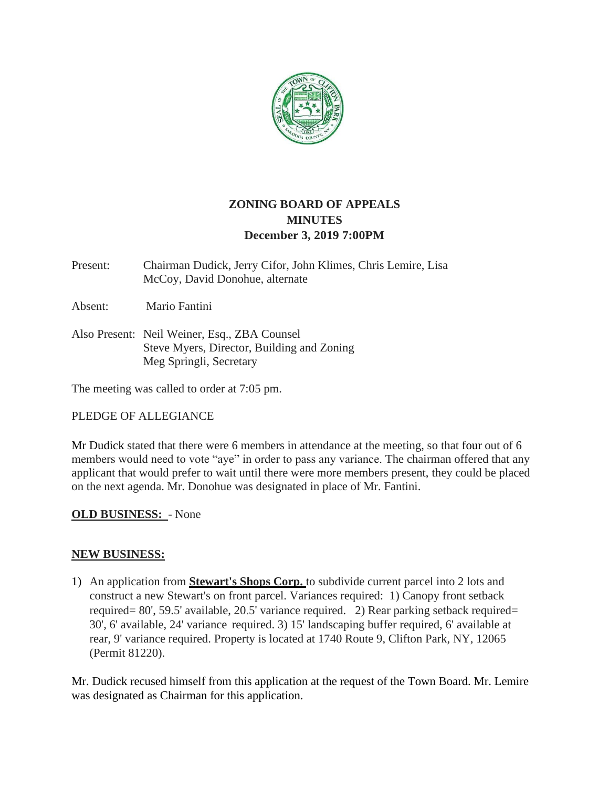

# **ZONING BOARD OF APPEALS MINUTES December 3, 2019 7:00PM**

Present: Chairman Dudick, Jerry Cifor, John Klimes, Chris Lemire, Lisa McCoy, David Donohue, alternate

Absent: Mario Fantini

Also Present: Neil Weiner, Esq., ZBA Counsel Steve Myers, Director, Building and Zoning Meg Springli, Secretary

The meeting was called to order at 7:05 pm.

## PLEDGE OF ALLEGIANCE

Mr Dudick stated that there were 6 members in attendance at the meeting, so that four out of 6 members would need to vote "aye" in order to pass any variance. The chairman offered that any applicant that would prefer to wait until there were more members present, they could be placed on the next agenda. Mr. Donohue was designated in place of Mr. Fantini.

## **OLD BUSINESS:** - None

#### **NEW BUSINESS:**

1) An application from **Stewart's Shops Corp.** to subdivide current parcel into 2 lots and construct a new Stewart's on front parcel. Variances required: 1) Canopy front setback required= 80', 59.5' available, 20.5' variance required. 2) Rear parking setback required= 30', 6' available, 24' variance required. 3) 15' landscaping buffer required, 6' available at rear, 9' variance required. Property is located at 1740 Route 9, Clifton Park, NY, 12065 (Permit 81220).

Mr. Dudick recused himself from this application at the request of the Town Board. Mr. Lemire was designated as Chairman for this application.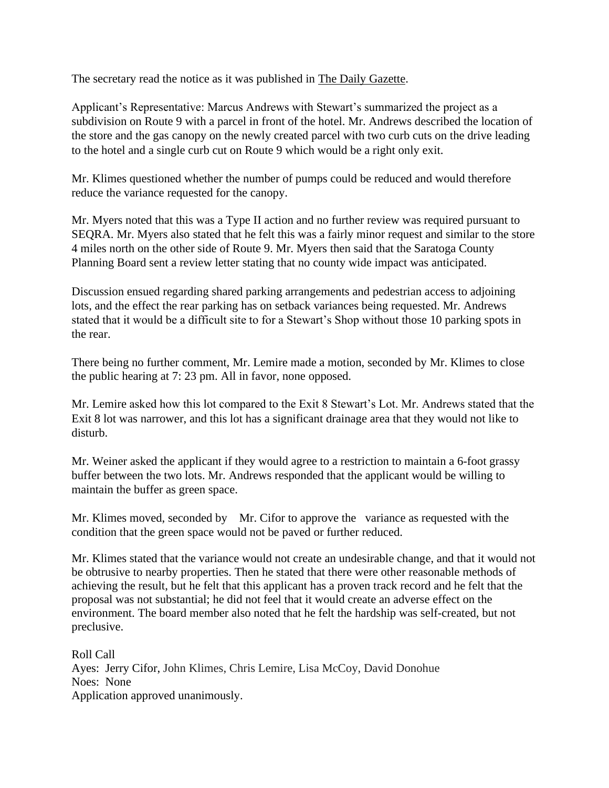The secretary read the notice as it was published in The Daily Gazette.

Applicant's Representative: Marcus Andrews with Stewart's summarized the project as a subdivision on Route 9 with a parcel in front of the hotel. Mr. Andrews described the location of the store and the gas canopy on the newly created parcel with two curb cuts on the drive leading to the hotel and a single curb cut on Route 9 which would be a right only exit.

Mr. Klimes questioned whether the number of pumps could be reduced and would therefore reduce the variance requested for the canopy.

Mr. Myers noted that this was a Type II action and no further review was required pursuant to SEQRA. Mr. Myers also stated that he felt this was a fairly minor request and similar to the store 4 miles north on the other side of Route 9. Mr. Myers then said that the Saratoga County Planning Board sent a review letter stating that no county wide impact was anticipated.

Discussion ensued regarding shared parking arrangements and pedestrian access to adjoining lots, and the effect the rear parking has on setback variances being requested. Mr. Andrews stated that it would be a difficult site to for a Stewart's Shop without those 10 parking spots in the rear.

There being no further comment, Mr. Lemire made a motion, seconded by Mr. Klimes to close the public hearing at 7: 23 pm. All in favor, none opposed.

Mr. Lemire asked how this lot compared to the Exit 8 Stewart's Lot. Mr. Andrews stated that the Exit 8 lot was narrower, and this lot has a significant drainage area that they would not like to disturb.

Mr. Weiner asked the applicant if they would agree to a restriction to maintain a 6-foot grassy buffer between the two lots. Mr. Andrews responded that the applicant would be willing to maintain the buffer as green space.

Mr. Klimes moved, seconded by Mr. Cifor to approve the variance as requested with the condition that the green space would not be paved or further reduced.

Mr. Klimes stated that the variance would not create an undesirable change, and that it would not be obtrusive to nearby properties. Then he stated that there were other reasonable methods of achieving the result, but he felt that this applicant has a proven track record and he felt that the proposal was not substantial; he did not feel that it would create an adverse effect on the environment. The board member also noted that he felt the hardship was self-created, but not preclusive.

Roll Call Ayes: Jerry Cifor, John Klimes, Chris Lemire, Lisa McCoy, David Donohue Noes: None Application approved unanimously.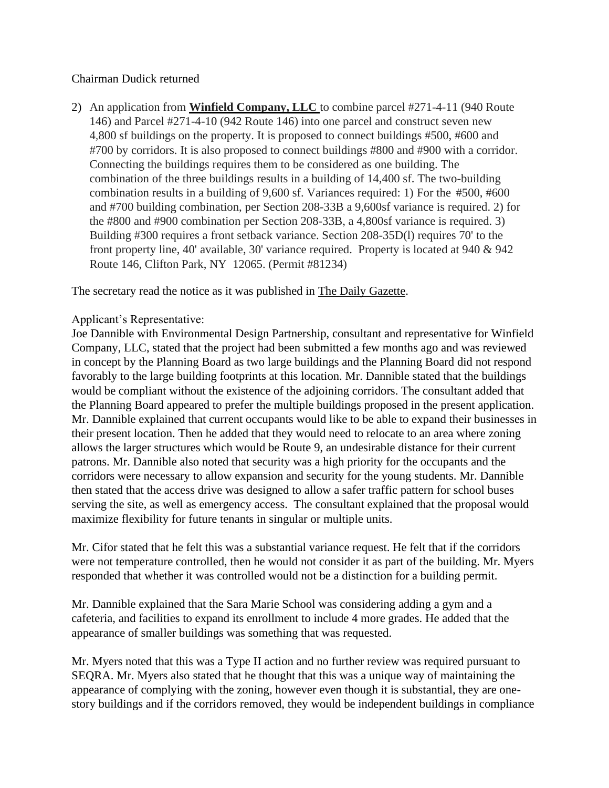## Chairman Dudick returned

2) An application from **Winfield Company, LLC** to combine parcel #271-4-11 (940 Route 146) and Parcel #271-4-10 (942 Route 146) into one parcel and construct seven new 4,800 sf buildings on the property. It is proposed to connect buildings #500, #600 and #700 by corridors. It is also proposed to connect buildings #800 and #900 with a corridor. Connecting the buildings requires them to be considered as one building. The combination of the three buildings results in a building of 14,400 sf. The two-building combination results in a building of 9,600 sf. Variances required: 1) For the #500, #600 and #700 building combination, per Section 208-33B a 9,600sf variance is required. 2) for the #800 and #900 combination per Section 208-33B, a 4,800sf variance is required. 3) Building #300 requires a front setback variance. Section 208-35D(l) requires 70' to the front property line, 40' available, 30' variance required. Property is located at 940 & 942 Route 146, Clifton Park, NY 12065. (Permit #81234)

The secretary read the notice as it was published in The Daily Gazette.

### Applicant's Representative:

Joe Dannible with Environmental Design Partnership, consultant and representative for Winfield Company, LLC, stated that the project had been submitted a few months ago and was reviewed in concept by the Planning Board as two large buildings and the Planning Board did not respond favorably to the large building footprints at this location. Mr. Dannible stated that the buildings would be compliant without the existence of the adjoining corridors. The consultant added that the Planning Board appeared to prefer the multiple buildings proposed in the present application. Mr. Dannible explained that current occupants would like to be able to expand their businesses in their present location. Then he added that they would need to relocate to an area where zoning allows the larger structures which would be Route 9, an undesirable distance for their current patrons. Mr. Dannible also noted that security was a high priority for the occupants and the corridors were necessary to allow expansion and security for the young students. Mr. Dannible then stated that the access drive was designed to allow a safer traffic pattern for school buses serving the site, as well as emergency access. The consultant explained that the proposal would maximize flexibility for future tenants in singular or multiple units.

Mr. Cifor stated that he felt this was a substantial variance request. He felt that if the corridors were not temperature controlled, then he would not consider it as part of the building. Mr. Myers responded that whether it was controlled would not be a distinction for a building permit.

Mr. Dannible explained that the Sara Marie School was considering adding a gym and a cafeteria, and facilities to expand its enrollment to include 4 more grades. He added that the appearance of smaller buildings was something that was requested.

Mr. Myers noted that this was a Type II action and no further review was required pursuant to SEQRA. Mr. Myers also stated that he thought that this was a unique way of maintaining the appearance of complying with the zoning, however even though it is substantial, they are onestory buildings and if the corridors removed, they would be independent buildings in compliance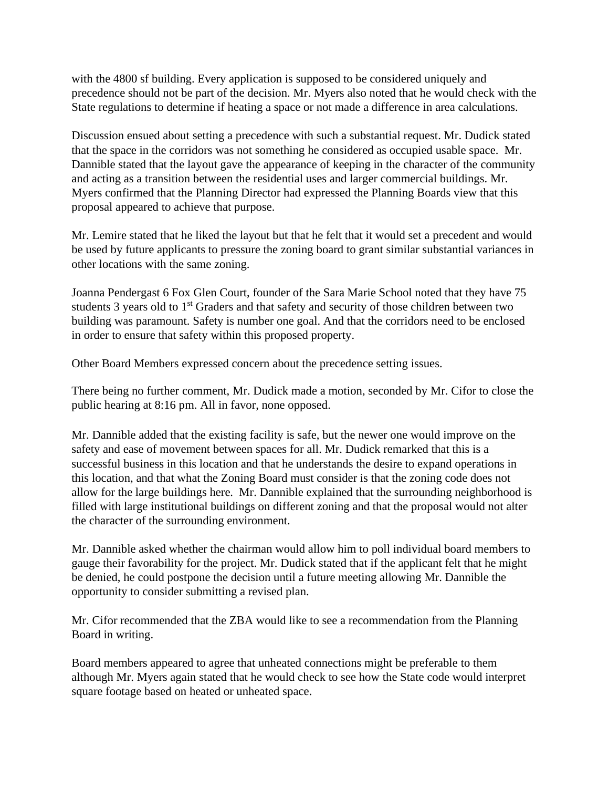with the 4800 sf building. Every application is supposed to be considered uniquely and precedence should not be part of the decision. Mr. Myers also noted that he would check with the State regulations to determine if heating a space or not made a difference in area calculations.

Discussion ensued about setting a precedence with such a substantial request. Mr. Dudick stated that the space in the corridors was not something he considered as occupied usable space. Mr. Dannible stated that the layout gave the appearance of keeping in the character of the community and acting as a transition between the residential uses and larger commercial buildings. Mr. Myers confirmed that the Planning Director had expressed the Planning Boards view that this proposal appeared to achieve that purpose.

Mr. Lemire stated that he liked the layout but that he felt that it would set a precedent and would be used by future applicants to pressure the zoning board to grant similar substantial variances in other locations with the same zoning.

Joanna Pendergast 6 Fox Glen Court, founder of the Sara Marie School noted that they have 75 students 3 years old to 1<sup>st</sup> Graders and that safety and security of those children between two building was paramount. Safety is number one goal. And that the corridors need to be enclosed in order to ensure that safety within this proposed property.

Other Board Members expressed concern about the precedence setting issues.

There being no further comment, Mr. Dudick made a motion, seconded by Mr. Cifor to close the public hearing at 8:16 pm. All in favor, none opposed.

Mr. Dannible added that the existing facility is safe, but the newer one would improve on the safety and ease of movement between spaces for all. Mr. Dudick remarked that this is a successful business in this location and that he understands the desire to expand operations in this location, and that what the Zoning Board must consider is that the zoning code does not allow for the large buildings here. Mr. Dannible explained that the surrounding neighborhood is filled with large institutional buildings on different zoning and that the proposal would not alter the character of the surrounding environment.

Mr. Dannible asked whether the chairman would allow him to poll individual board members to gauge their favorability for the project. Mr. Dudick stated that if the applicant felt that he might be denied, he could postpone the decision until a future meeting allowing Mr. Dannible the opportunity to consider submitting a revised plan.

Mr. Cifor recommended that the ZBA would like to see a recommendation from the Planning Board in writing.

Board members appeared to agree that unheated connections might be preferable to them although Mr. Myers again stated that he would check to see how the State code would interpret square footage based on heated or unheated space.